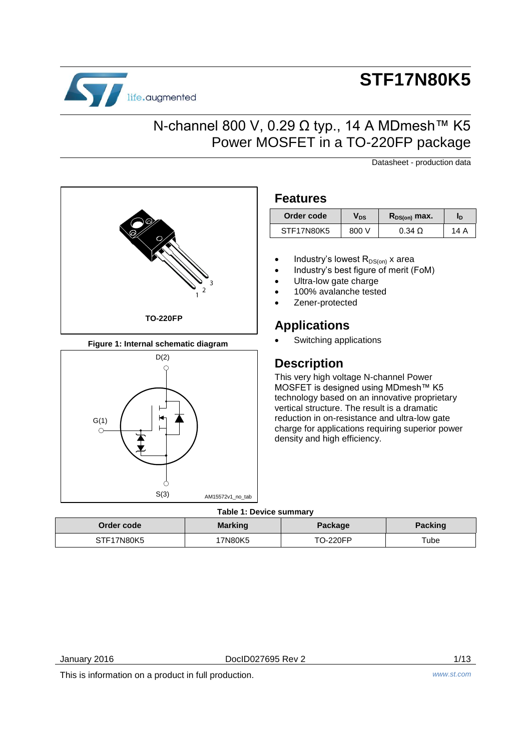

# **STF17N80K5**

## N-channel 800 V, 0.29 Ω typ., 14 A MDmesh™ K5 Power MOSFET in a TO-220FP package

Datasheet - production data



**Figure 1: Internal schematic diagram** 



### **Features**

| Order code | Vds   | $R_{DS(on)}$ max. | ΙD   |
|------------|-------|-------------------|------|
| STF17N80K5 | 800 V | $0.34\ \Omega$    | 14 A |

- Industry's lowest  $R_{DS(on)}$  x area
- Industry's best figure of merit (FoM)
- Ultra-low gate charge
- 100% avalanche tested
- Zener-protected

### **Applications**

Switching applications

## **Description**

This very high voltage N-channel Power MOSFET is designed using MDmesh™ K5 technology based on an innovative proprietary vertical structure. The result is a dramatic reduction in on-resistance and ultra-low gate charge for applications requiring superior power density and high efficiency.

### **Table 1: Device summary**

| Order code | <b>Marking</b> | Package  | <b>Packing</b> |
|------------|----------------|----------|----------------|
| STF17N80K5 | 7N80K5         | TO-220FP | Tube           |

January 2016 DocID027695 Rev 2 1/13

This is information on a product in full production. *www.st.com*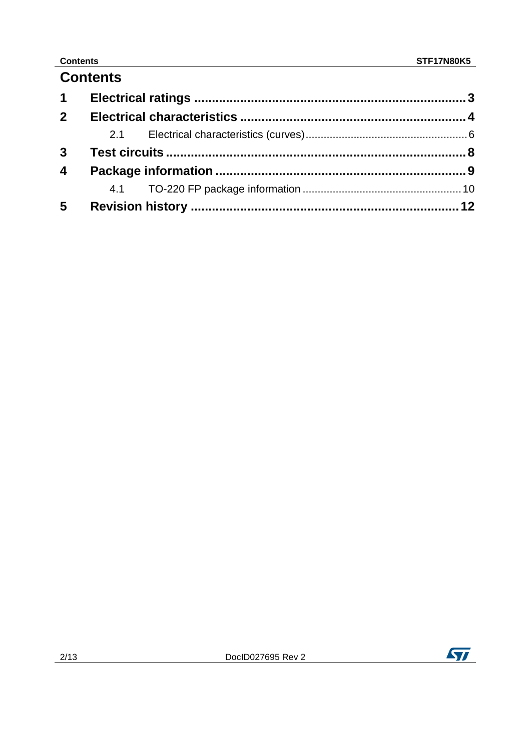### **Contents**

## **Contents**

| $2^{\circ}$             |  |  |
|-------------------------|--|--|
|                         |  |  |
|                         |  |  |
| $\overline{\mathbf{4}}$ |  |  |
|                         |  |  |
| $5\overline{)}$         |  |  |

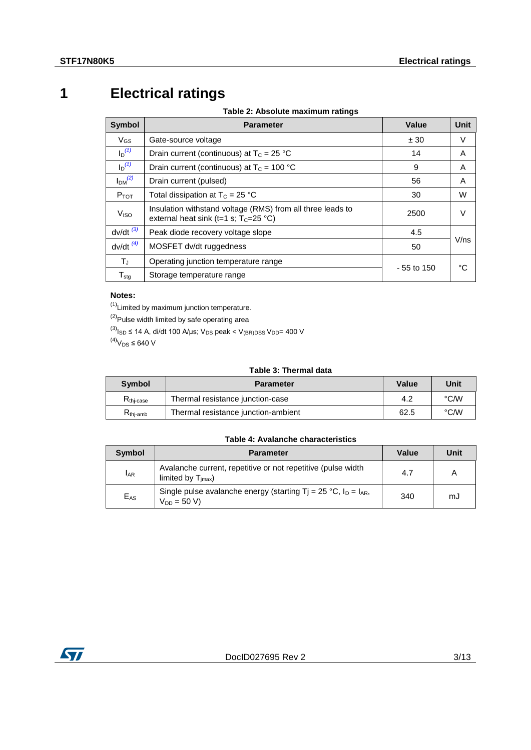## **1 Electrical ratings**

**Table 2: Absolute maximum ratings** 

<span id="page-2-0"></span>

| <b>Symbol</b>                  | <b>Parameter</b>                                                                                       | Value       | Unit |  |
|--------------------------------|--------------------------------------------------------------------------------------------------------|-------------|------|--|
| $V_{GS}$                       | Gate-source voltage                                                                                    | ± 30        | V    |  |
| $I_D^{(1)}$                    | Drain current (continuous) at $T_c = 25 °C$                                                            | 14          | A    |  |
| $I_D^{(1)}$                    | Drain current (continuous) at $T_c = 100 °C$                                                           | 9           | A    |  |
| I <sub>DM</sub> <sup>(2)</sup> | Drain current (pulsed)<br>56                                                                           |             |      |  |
| $P_{TOT}$                      | Total dissipation at $T_c = 25$ °C                                                                     | 30          | W    |  |
| V <sub>ISO</sub>               | Insulation withstand voltage (RMS) from all three leads to<br>external heat sink (t=1 s; $T_c$ =25 °C) | 2500        | V    |  |
| $dv/dt^{(3)}$                  | Peak diode recovery voltage slope                                                                      | 4.5         |      |  |
| $dv/dt^{(4)}$                  | MOSFET dv/dt ruggedness                                                                                | 50          | V/ns |  |
| TJ.                            | Operating junction temperature range                                                                   | - 55 to 150 | °C   |  |
| ${\mathsf T}_{\text{stg}}$     | Storage temperature range                                                                              |             |      |  |

### **Notes:**

<span id="page-2-1"></span> $<sup>(1)</sup>$ Limited by maximum junction temperature.</sup>

<span id="page-2-2"></span>(2)<br>Pulse width limited by safe operating area

<span id="page-2-3"></span>(3) $I_{SD} \le 14$  A, di/dt 100 A/µs; V<sub>DS</sub> peak < V<sub>(BR)</sub>pss, V<sub>DD</sub>= 400 V

<span id="page-2-4"></span> $^{(4)}V_{DS}$  ≤ 640 V

### **Table 3: Thermal data**

| <b>Symbol</b>        | <b>Parameter</b>                    | Value | Unit |
|----------------------|-------------------------------------|-------|------|
| $R_{\rm thi-case}$   | Thermal resistance junction-case    | 4.2   | °C/W |
| $R_{\text{thi-amb}}$ | Thermal resistance junction-ambient | 62.5  | °C/W |

### **Table 4: Avalanche characteristics**

<span id="page-2-5"></span>

| Symbol   | <b>Parameter</b>                                                                               | Value | Unit |
|----------|------------------------------------------------------------------------------------------------|-------|------|
| $I_{AR}$ | Avalanche current, repetitive or not repetitive (pulse width<br>limited by $T_{\text{imax}}$ ) | 4.7   | A    |
| $E_{AS}$ | Single pulse avalanche energy (starting Tj = 25 °C, $I_D = I_{AR}$ ,<br>$V_{DD} = 50 V$        | 340   | mJ   |

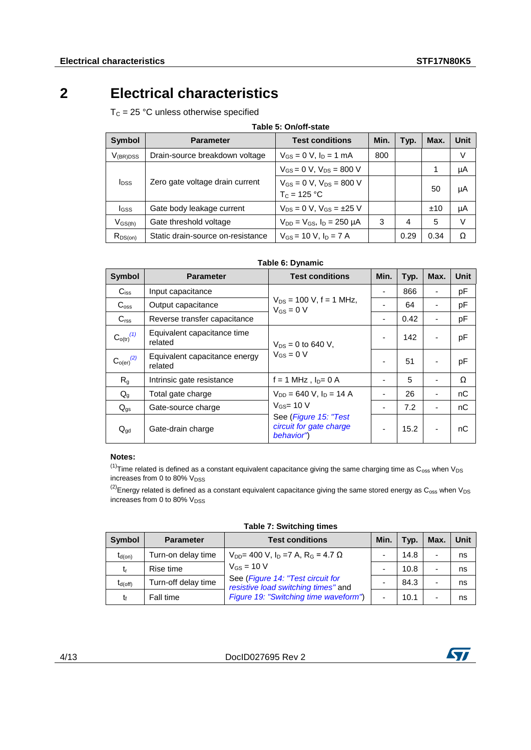## **2 Electrical characteristics**

<span id="page-3-0"></span> $T_c = 25 °C$  unless otherwise specified

| Table 5: On/off-state   |                                   |                                                    |      |      |      |      |  |
|-------------------------|-----------------------------------|----------------------------------------------------|------|------|------|------|--|
| Symbol                  | <b>Parameter</b>                  | <b>Test conditions</b>                             | Min. | Typ. | Max. | Unit |  |
| $V_{(BR)DSS}$           | Drain-source breakdown voltage    | $V_{GS} = 0 V$ , $I_D = 1 mA$                      | 800  |      |      | V    |  |
| <b>I</b> <sub>DSS</sub> | Zero gate voltage drain current   | $V_{GS} = 0 V$ , $V_{DS} = 800 V$                  |      |      | 1    | μA   |  |
|                         |                                   | $V_{GS} = 0$ V, $V_{DS} = 800$ V<br>$T_c = 125 °C$ |      |      | 50   | μA   |  |
| lgss                    | Gate body leakage current         | $V_{DS} = 0$ V, $V_{GS} = \pm 25$ V                |      |      | ±10  | μA   |  |
| $V_{GS(th)}$            | Gate threshold voltage            | $V_{DD} = V_{GS}$ , $I_D = 250 \mu A$              | 3    | 4    | 5    | V    |  |
| $R_{DS(on)}$            | Static drain-source on-resistance | $V_{GS}$ = 10 V, $I_D$ = 7 A                       |      | 0.29 | 0.34 | Ω    |  |

### **Table 6: Dynamic**

<span id="page-3-3"></span>

| <b>Symbol</b>              | <b>Parameter</b>                         | <b>Test conditions</b>                                         | Min. | Typ. | Max. | <b>Unit</b> |
|----------------------------|------------------------------------------|----------------------------------------------------------------|------|------|------|-------------|
| $C_{iss}$                  | Input capacitance                        |                                                                |      | 866  |      | рF          |
| $C_{\rm oss}$              | Output capacitance                       | $V_{DS}$ = 100 V, f = 1 MHz,<br>$V_{GS} = 0 V$                 |      | 64   |      | рF          |
| C <sub>rss</sub>           | Reverse transfer capacitance             |                                                                | ۰    | 0.42 |      | рF          |
| $C_{o(tr)}^{(1)}$          | Equivalent capacitance time<br>related   | $V_{DS} = 0$ to 640 V,                                         |      | 142  |      | pF          |
| $\mathrm{C_{o(er)}}^{(2)}$ | Equivalent capacitance energy<br>related | $V_{GS} = 0 V$                                                 |      | 51   |      | pF          |
| R <sub>g</sub>             | Intrinsic gate resistance                | $f = 1$ MHz, $I_{D} = 0$ A                                     |      | 5    |      | Ω           |
| $Q_{q}$                    | Total gate charge                        | $V_{DD}$ = 640 V, $I_D$ = 14 A                                 |      | 26   |      | nC          |
| $Q_{gs}$                   | Gate-source charge                       | $V_{GS}$ = 10 V                                                |      | 7.2  |      | nC          |
| $Q_{gd}$                   | Gate-drain charge                        | See (Figure 15: "Test<br>circuit for gate charge<br>behavior") | -    | 15.2 |      | nС          |

### **Notes:**

<span id="page-3-1"></span> $^{(1)}$ Time related is defined as a constant equivalent capacitance giving the same charging time as C<sub>oss</sub> when V<sub>DS</sub> increases from 0 to 80%  $V_{DSS}$ 

<span id="page-3-2"></span> $^{(2)}$ Energy related is defined as a constant equivalent capacitance giving the same stored energy as  $C_{oss}$  when  $V_{DS}$ increases from 0 to 80% V<sub>DSS</sub>

<span id="page-3-4"></span>

| <b>Symbol</b> | <b>Parameter</b>    | <b>Test conditions</b>                                                   | Min.                     | Typ. | Max. | Unit |  |  |
|---------------|---------------------|--------------------------------------------------------------------------|--------------------------|------|------|------|--|--|
| $t_{d(on)}$   | Turn-on delay time  | $V_{DD}$ = 400 V, I <sub>D</sub> = 7 A, R <sub>G</sub> = 4.7 $\Omega$    |                          | 14.8 |      | ns   |  |  |
| t,            | Rise time           | $V_{GS}$ = 10 V                                                          | $\overline{\phantom{0}}$ | 10.8 |      | ns   |  |  |
| $t_{d(off)}$  | Turn-off delay time | See (Figure 14: "Test circuit for<br>resistive load switching times" and |                          | 84.3 |      | ns   |  |  |
| t             | Fall time           | Figure 19: "Switching time waveform")                                    | $\overline{\phantom{0}}$ | 10.1 |      | ns   |  |  |

**Table 7: Switching times** 

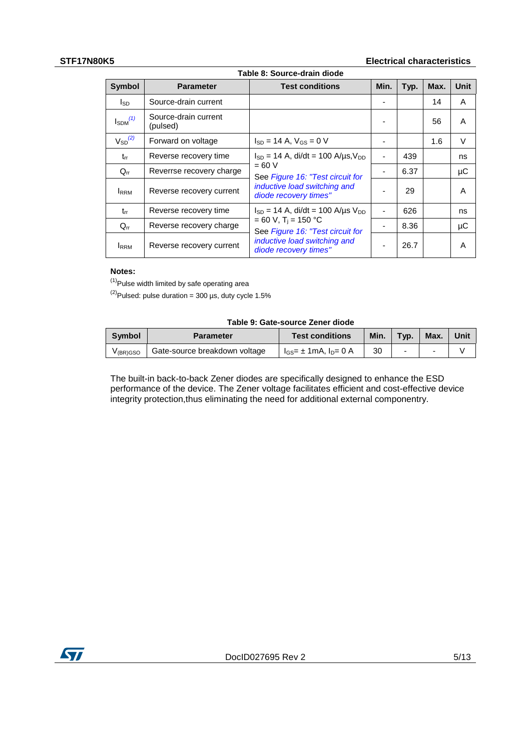### **STF17N80K5 Electrical characteristics**

<span id="page-4-3"></span>

| Table 8: Source-drain diode |                                  |                                                                        |                          |      |      |      |  |
|-----------------------------|----------------------------------|------------------------------------------------------------------------|--------------------------|------|------|------|--|
| <b>Symbol</b>               | <b>Parameter</b>                 | <b>Test conditions</b>                                                 | Min.                     | Typ. | Max. | Unit |  |
| I <sub>SD</sub>             | Source-drain current             |                                                                        |                          |      | 14   | A    |  |
| $I_{SDM}$ <sup>(1)</sup>    | Source-drain current<br>(pulsed) |                                                                        |                          |      | 56   | A    |  |
| $V_{SD}^{(2)}$              | Forward on voltage               | $I_{SD}$ = 14 A, $V_{GS}$ = 0 V                                        |                          |      | 1.6  | V    |  |
| $t_{rr}$                    | Reverse recovery time            | $I_{SD} = 14$ A, di/dt = 100 A/µs, V <sub>DD</sub>                     |                          | 439  |      | ns   |  |
| $Q_{rr}$                    | Reverrse recovery charge         | $= 60 V$<br>See Figure 16: "Test circuit for                           |                          | 6.37 |      | μC   |  |
| <b>IRRM</b>                 | Reverse recovery current         | inductive load switching and<br>diode recovery times"                  |                          | 29   |      | A    |  |
| $t_{rr}$                    | Reverse recovery time            | $I_{SD}$ = 14 A, di/dt = 100 A/us $V_{DD}$                             | $\overline{\phantom{a}}$ | 626  |      | ns   |  |
| $Q_{rr}$                    | Reverse recovery charge          | $= 60 V$ , T <sub>i</sub> = 150 °C<br>See Figure 16: "Test circuit for | -                        | 8.36 |      | μC   |  |
| <b>I</b> RRM                | Reverse recovery current         | inductive load switching and<br>diode recovery times"                  |                          | 26.7 |      | A    |  |

### **Notes:**

<span id="page-4-1"></span> $(1)$ Pulse width limited by safe operating area

<span id="page-4-2"></span> $^{(2)}$ Pulsed: pulse duration = 300 µs, duty cycle 1.5%

### **Table 9: Gate-source Zener diode**

| Symbol               | <b>Parameter</b>              | <b>Test conditions</b>          | Min. $\vert$ Typ. |   | Max. | Unit |
|----------------------|-------------------------------|---------------------------------|-------------------|---|------|------|
| V <sub>(BR)GSO</sub> | Gate-source breakdown voltage | $I_{GS}$ = ± 1mA, $I_{D}$ = 0 A | 30                | - | -    |      |

<span id="page-4-0"></span>The built-in back-to-back Zener diodes are specifically designed to enhance the ESD performance of the device. The Zener voltage facilitates efficient and cost-effective device integrity protection,thus eliminating the need for additional external componentry.

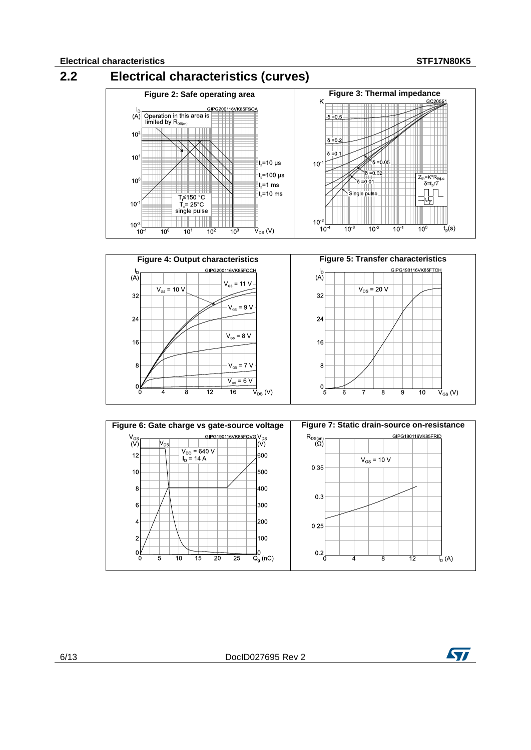





6/13 DocID027695 Rev 2

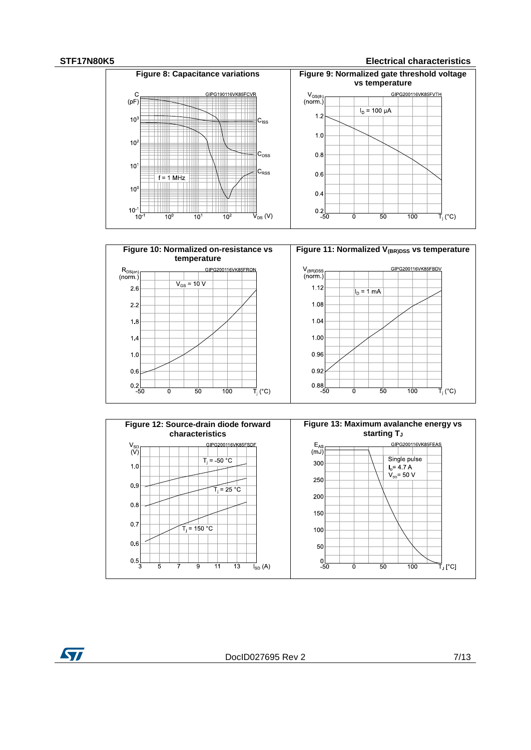### **STF17N80K5 Electrical characteristics**







ST

DocID027695 Rev 2 7/13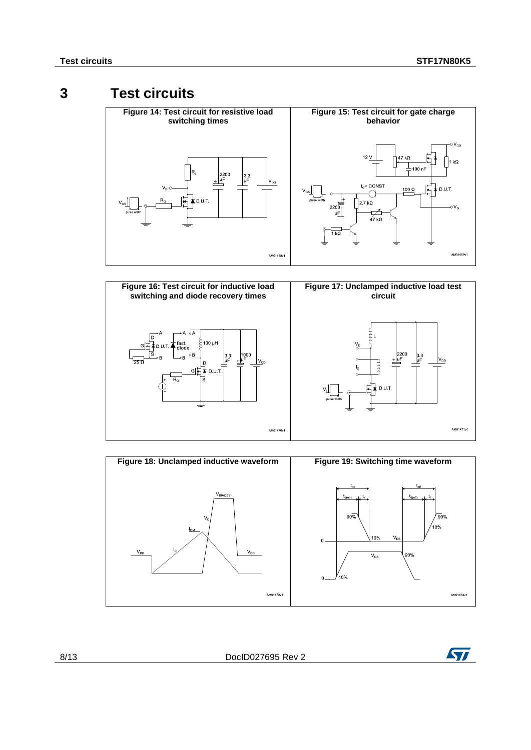## **3 Test circuits**

<span id="page-7-2"></span><span id="page-7-1"></span><span id="page-7-0"></span>

<span id="page-7-4"></span>

<span id="page-7-3"></span>

8/13 DocID027695 Rev 2

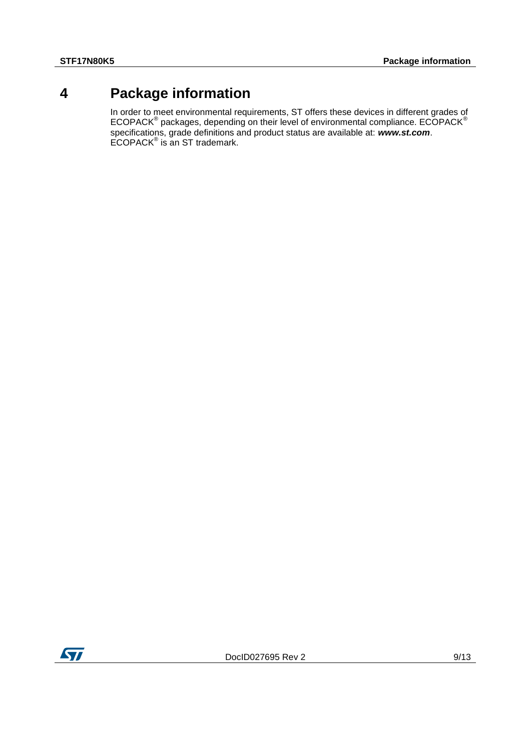## **4 Package information**

<span id="page-8-0"></span>In order to meet environmental requirements, ST offers these devices in different grades of  $\mathsf{ECOPACK}^{\circledast}$  packages, depending on their level of environmental compliance.  $\mathsf{ECOPACK}^{\circledast}$ specifications, grade definitions and product status are available at: *www.st.com*. ECOPACK® is an ST trademark.

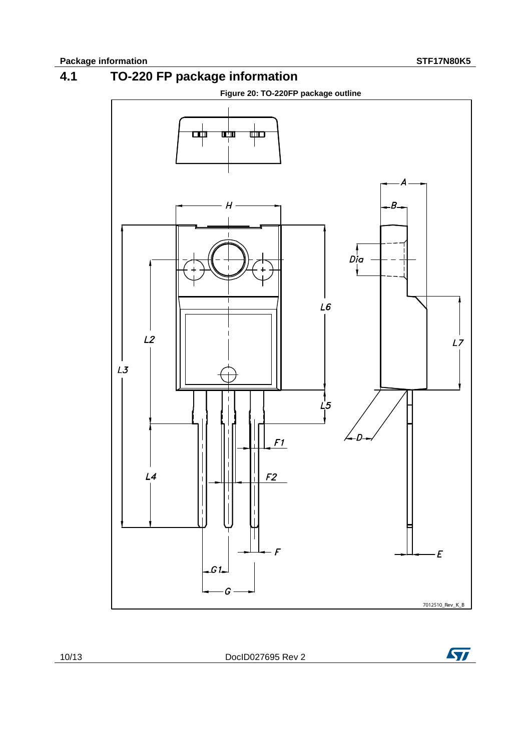

<span id="page-9-0"></span>

10/13 DocID027695 Rev 2

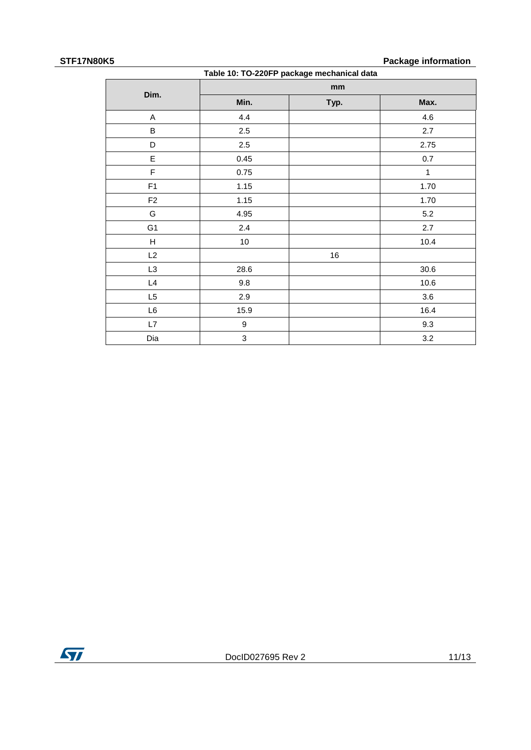### **STF17N80K5 Package information**

| Table 10: TO-220FP package mechanical data |                           |      |      |  |  |  |
|--------------------------------------------|---------------------------|------|------|--|--|--|
|                                            |                           | mm   |      |  |  |  |
| Dim.                                       | Min.                      | Typ. | Max. |  |  |  |
| A                                          | 4.4                       |      | 4.6  |  |  |  |
| B                                          | $2.5\,$                   |      | 2.7  |  |  |  |
| D                                          | $2.5\,$                   |      | 2.75 |  |  |  |
| E                                          | 0.45                      |      | 0.7  |  |  |  |
| F                                          | 0.75                      |      | 1    |  |  |  |
| F1                                         | 1.15                      |      | 1.70 |  |  |  |
| F <sub>2</sub>                             | 1.15                      |      | 1.70 |  |  |  |
| G                                          | 4.95                      |      | 5.2  |  |  |  |
| G <sub>1</sub>                             | 2.4                       |      | 2.7  |  |  |  |
| H                                          | 10                        |      | 10.4 |  |  |  |
| L2                                         |                           | 16   |      |  |  |  |
| L <sub>3</sub>                             | 28.6                      |      | 30.6 |  |  |  |
| L4                                         | 9.8                       |      | 10.6 |  |  |  |
| L5                                         | 2.9                       |      | 3.6  |  |  |  |
| L6                                         | 15.9                      |      | 16.4 |  |  |  |
| L7                                         | 9                         |      | 9.3  |  |  |  |
| Dia                                        | $\ensuremath{\mathsf{3}}$ |      | 3.2  |  |  |  |

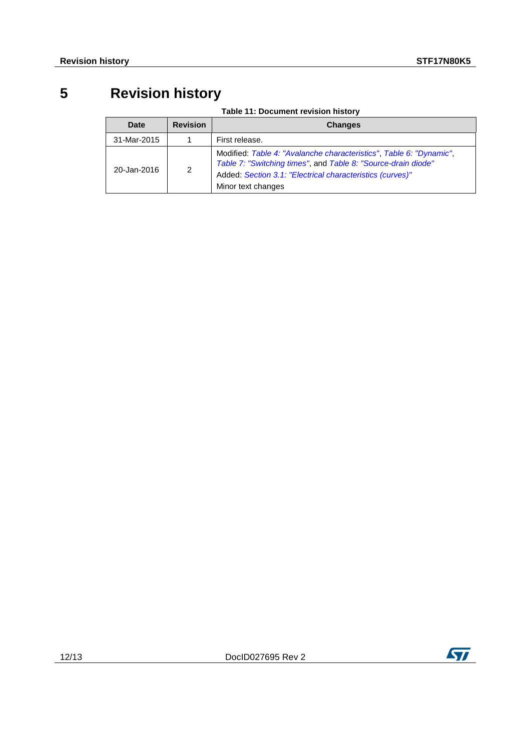## **5 Revision history**

|  | Table 11: Document revision history |  |  |
|--|-------------------------------------|--|--|
|--|-------------------------------------|--|--|

<span id="page-11-0"></span>

| Date        | <b>Revision</b> | <b>Changes</b>                                                                                                                                                                                                          |
|-------------|-----------------|-------------------------------------------------------------------------------------------------------------------------------------------------------------------------------------------------------------------------|
| 31-Mar-2015 |                 | First release.                                                                                                                                                                                                          |
| 20-Jan-2016 | 2               | Modified: Table 4: "Avalanche characteristics", Table 6: "Dynamic",<br>Table 7: "Switching times", and Table 8: "Source-drain diode"<br>Added: Section 3.1: "Electrical characteristics (curves)"<br>Minor text changes |